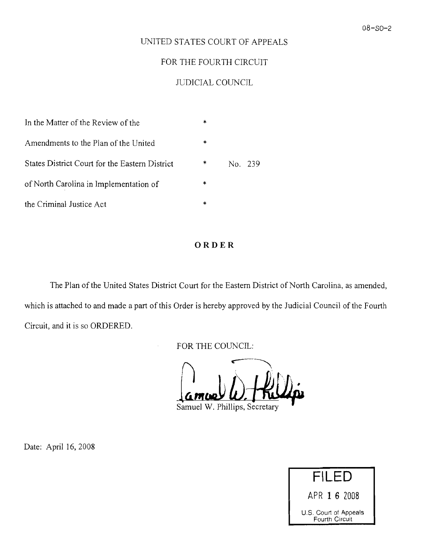# UNITED STATES COURT OF APPEALS

# FOR THE FOURTH CIRCUIT

# JUDICIAL COUNCIL

| In the Matter of the Review of the             | *      |     |       |
|------------------------------------------------|--------|-----|-------|
| Amendments to the Plan of the United           | ∗      |     |       |
| States District Court for the Eastern District | $\ast$ | No. | - 239 |
| of North Carolina in Implementation of         | *      |     |       |
| the Criminal Justice Act                       | *      |     |       |

### **ORDER**

The Plan of the United States District Court for the Eastern District of North Carolina, as amended, which is attached to and made a part of this Order is hereby approved by the Judicial Council of the Fourth Circuit, and it is so ORDERED.

FOR THE COUNCIL:

 $~\overbrace{\phantom{1.55251}}$ Jamwe W. Hellip Samuel W. Phillips, Secretary

Date: April 16, 2008

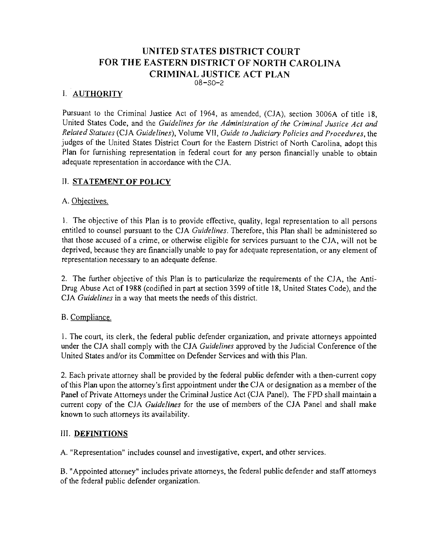# UNITED STATES DISTRICT COURT FOR THE EASTERN DISTRICT OF NORTH CAROLINA CRIMINAL JUSTICE ACT PLAN

*08-S0-2* 

# 1. AUTHORITY

Pursuant to the Criminal Justice Act of 1964, as amended, (CJA), section 3006A of title 18, United States Code, and the *Guidelines for the Administration of the Criminal Justice Act and Related Statutes* (CJA *GUidelines),* Volume VIl, *Guide to Judiciary Policies and Procedures,* the judges of the United States District Court for the Eastern District of North Carolina, adopt this Plan for furnishing representation in federal court for any person financially unable to obtain adequate representation in accordance with the CJA.

# **II. STATEMENT OF POLICY**

# A. Objectives.

I. The objective of this Plan is to provide effective, quality, legal representation to all persons entitled to counsel pursuant to the CJA *Guidelines.* Therefore, this Plan shall be administered so that those accused of a crime, or otherwise eligible for services pursuant to the CJA, will not be deprived, because they are financially unable to pay for adequate representation, or any element of representation necessary to an adequate defense.

2. The further objective of this Plan is to particularize the requirements of the CJA, the Anti-Drug Abuse Act of 1988 (codified in part at section 3599 of title 18, United States Code), and the CJA *Guidelines* in a way that meets the needs of this district.

# B. Compliance.

I. The court, its clerk, the federal public defender organization, and private attorneys appointed under the CJA shall comply with the CJA *Guidelines* approved by the Judicial Conference ofthe United States and/or its Committee on Defender Services and with this Plan.

2. Each private attorney shall be provided by the federal public defender with a then-current copy ofthis Plan upon the attorney's first appointment under the CJA or designation as a member ofthe Panel of Private Attorneys under the Criminal Justice Act (CJA Panel). The FPO shall maintain a current copy of the CJA *Guidelines* for the use of members of the CJA Panel and shall make known to such attorneys its availability.

### 1II. DEFINITIONS

A. "Representation" includes counsel and investigative, expert, and other services.

B. "Appointed attorney" includes private attorneys, the federal public defender and staff attorneys of the federal public defender organization.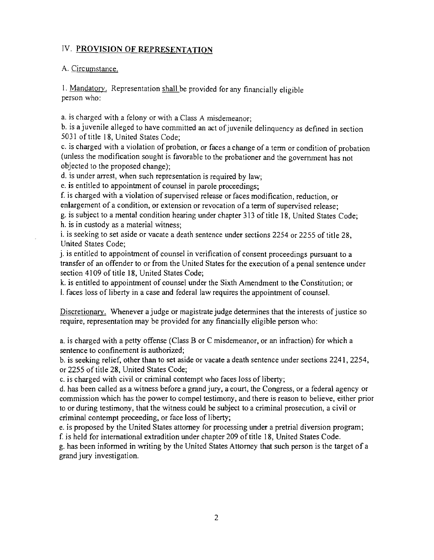# IV. PROVISION OF REPRESENTATION

### A. Circumstance.

1. Mandatory. Representation shall be provided for any financially eligible person who:

a. is charged with a felony or with a Class A misdemeanor;

b. is a juvenile alleged to have committed an act of juvenile delinquency as defined in section 5031 of title 18, United States Code;

c. is charged with a violation of probation, or faces a change of a term or condition of probation (unless the modification sought is favorable to the probationer and the government has not objected to the proposed change);

d. is under arrest, when such representation is required by law;

e. is entitled to appointment of counsel in parole proceedings;

f. is charged with a violation of supervised release or faces modification, reduction, or enlargement of a condition, or extension or revocation of a term of supervised release;

g. is subject to a mental condition hearing under chapter 313 of title 18, United States Code; h. is in custody as a material witness;

i. is seeking to set aside or vacate a death sentence under sections 2254 or 2255 of title 28, United States Code;

j. is entitled to appointment of counsel in verification of consent proceedings pursuant to a transfer of an offender to or from the United States for the execution of a penal sentence under section 4109 of title 18, United States Code;

k. is entitled to appointment of counsel under the Sixth Amendment to the Constitution; or I. faces loss of liberty in a case and federal law requires the appointment of counsel.

Discretionary. Whenever a judge or magistrate judge determines that the interests of justice so require, representation may be provided for any financially eligible person who:

a. is charged with a petty offense (Class B or C misdemeanor, or an infraction) for which a sentence to confinement is authorized;

b. is seeking relief, other than to set aside or vacate a death sentence under sections 2241, 2254, or 2255 of title 28, United States Code;

c. is charged with civil or criminal contempt who faces loss of liberty;

d. has been called as a witness before a grand jury, a court, the Congress, or a federal agency or commission which has the power to compel testimony, and there is reason to believe, either prior to or during testimony, that the witness could be subject to a criminal prosecution, a civil or criminal contempt proceeding, or face loss of liberty;

e. is proposed by the United States attorney for processing under a pretrial diversion program; f. is held for international extradition under chapter 209 of title 18, United States Code.

g. has been informed in writing by the United States Attorney that such person is the target of a grand jury investigation.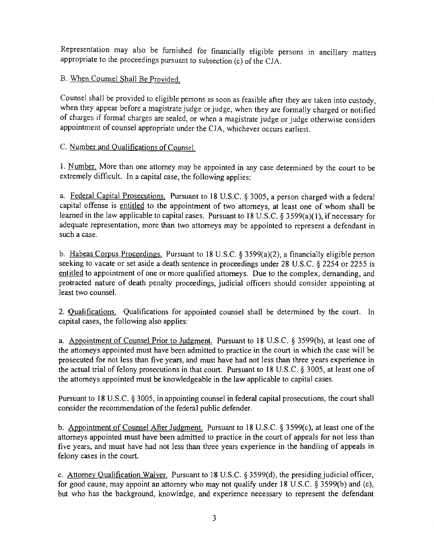Representation may also be furnished for financially eligible persons in ancillary matters appropriate to the proceedings pursuant to subsection (c) of the CJA.

# B. When Counsel Shall Be Provided.

Counsel shall be provided to eligible persons as soon as feasible after they are taken into custody, when they appear before a magistrate judge or judge, when they are formally charged or notified of charges if formal charges are sealed, or when a magistrate judge or judge otherwise considers appointment of counsel appropriate under the CJA, whichever occurs earliest.

### C. Number and Qualifications of Counsel.

1. Number. More than one attorney may be appointed in any case determined by the court to be extremely difficult. In a capital case, the following applies:

a. Federal Capital Prosecutions. Pursuant to 18 U.S.C. § 3005, a person charged with a federal capital offense is entitled to the appointment of two attorneys, at least one of whom shall be learned in the law applicable to capital cases. Pursuant to 18 U.S.C. § 3599(a)(1), if necessary for adequate representation, more than two attorneys may be appointed to represent a defendant in such a case.

b. Habeas Corpus Proceedings. Pursuant to 18 U.S.C. § 3599(a)(2), a financially eligible person seeking to vacate or set aside a death sentence in proceedings under 28 U.S.C. § 2254 or 2255 is entitled to appointment of one or more qualified attorneys. Due to the complex, demanding, and protracted nature of death penalty proceedings, judicial officers should consider appointing at least two counsel.

2. Ouali fications. Qualifications for appointed counsel shall be determined by the court. In capital cases, the following also applies:

a. Appointment of Counsel Prior to Judgment. Pursuant to 18 U.S.C. § 3599(b), at least one of the attorneys appointed must have been admitted to practice in the court in which the case will be prosecuted for not less than five years, and must have had not less than three years experience in the actual trial of felony prosecutions in that court. Pursuant to 18 U.S.C. § 3005, at least one of the attorneys appointed must be knowledgeable in the law applicable to capital cases.

Pursuant to 18 U.S.C. § 3005, in appointing counsel in federal capital prosecutions, the court shall consider the recommendation of the federal public defender.

b. Appointment of Counsel After Judgment. Pursuant to 18 U.S.c. § 3599(c), at least one of the attorneys appointed must have been admitted to practice in the court of appeals for not less than five years, and must have had not less than three years experience in the handling of appeals in felony cases in the court.

c. Attorney Qualification Waiver. Pursuant to  $18$  U.S.C.  $\S$  3599(d), the presiding judicial officer, for good cause, may appoint an attorney who may not qualify under 18 U.S.C. § 3599(b) and (c), but who has the background, knowledge, and experience necessary to represent the defendant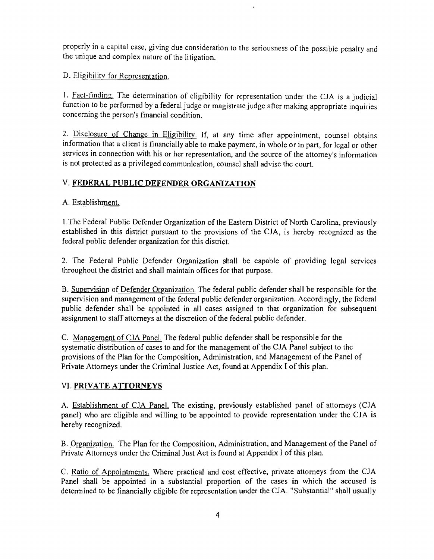properly in a capital case, giving due consideration to the seriousness of the possible penalty and the unique and complex nature of the litigation.

## D. Eligibility for Representation.

I. Fact-finding. The determination of eligibility for representation under the CJA is a judicial function to be performed by a federal judge or magistrate judge after making appropriate inquiries concerning the person's financial condition.

2. Disclosure of Change in Eligibility. If, at any time after appointment, counsel obtains infonnation that a client is financially able to make payment, in whole or in part, for legal or other services in connection with his or her representation, and the source of the attorney's information is not protected as a privileged communication, counsel shall advise the court.

# V. **FEDERAL PUBLIC DEFENDER ORGANIZATION**

# A. Establishment.

l.The Federal Public Defender Organization of the Eastern District of North Carolina, previously established in this district pursuant to the provisions of the CJA, is hereby recognized as the federal public defender organization for this district.

2. The Federal Public Defender Organization shall be capable of providing legal services throughout the district and shall maintain offices for that purpose.

B. Supervision of Defender Organization. The federal public defender shall be responsible for the supervision and management of the federal public defender organization. Accordingly, the federal public defender shall be appointed in all cases assigned to that organization for subsequent assignment to staff attorneys at the discretion of the federal public defender.

C. Management of CJA Panel. The federal public defender shall be responsible for the systematic distribution of cases to and for the management of the CJA Panel subject to the provisions of the Plan for the Composition, Administration, and Management of the Panel of Private Attorneys under the Criminal Justice Act, found at Appendix I of this plan.

### VI. **PRIVATE ATTORNEYS**

A. Establishment of CJA Panel. The existing, previously established panel of attorneys (CJA panel) who are eligible and willing to be appointed to provide representation under the CJA is hereby recognized.

B. Organization. The Plan for the Composition, Administration, and Management of the Panel of Private Attorneys under the Criminal Just Act is found at Appendix I of this plan.

C. Ratio of Appointments. Where practical and cost effective, private attorneys from the CJA Panel shall be appointed in a substantial proportion of the cases in which the accused is determined to be financially eligible for representation under the CJA. "Substantial" shall usually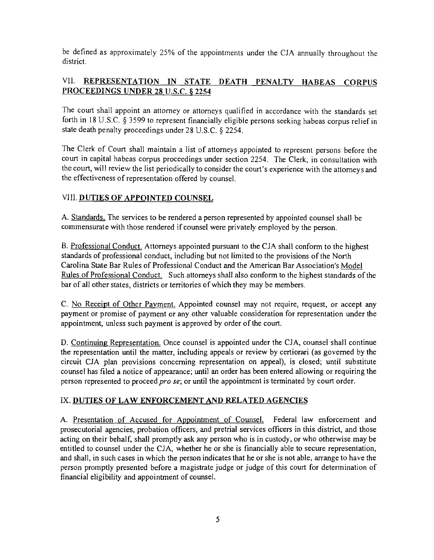be defined as approximately 25% of the appointments under the CJA annually throughout the district.

# VII. REPRESENTATION IN STATE DEATH PENALTY HABEAS CORPUS PROCEEDINGS UNDER 28 V.S.c. § 2254

The court shall appoint an attorney or attorneys qualified in accordance with the standards set forth in 18 U.S.C. § 3599 to represent financially eligible persons seeking habeas corpus relief in state death penalty proceedings under 28 U.S.C. § 2254.

The Clerk of Court shall maintain a list of attorneys appointed to represent persons before the court in capital habeas corpus proceedings under section 2254. The Clerk, in consultation with the court, will review the list periodically to consider the court's experience with the attorneys and the effectiveness of representation offered by counsel.

# VIII. DUTIES OF APPOINTED COUNSEL

A. Standards. The services to be rendered a person represented by appointed counsel shall be commensurate with those rendered if counsel were privately employed by the person.

B. Professional Conduct. Attorneys appointed pursuant to the CJA shall conform to the highest standards of professional conduct, including but not limited to the provisions of the North Carolina State Bar Rules of Professional Conduct and the American Bar Association's Model Rules of Professional Conduct. Such attorneys shall also conform to the highest standards of the bar of all other states, districts or territories of which they may be members.

C. No Receipt of Other Payment. Appointed counsel may not require, request, or accept any payment or promise of payment or any other valuable consideration for representation under the appointment, unless such payment is approved by order of the court.

D. Continuing Representation. Once counsel is appointed under the CJA, counsel shall continue the representation until the matter, including appeals or review by certiorari (as governed by the circuit CJA plan provisions concerning representation on appeal), is closed; until substitute counsel has filed a notice of appearance; until an order has been entered allowing or requiring the person represented to proceed *pro se;* or until the appointment is terminated by court order.

### IX. DUTIES OF LAW ENFORCEMENT AND RELATED AGENCIES

A. Presentation of Accused for Appointment of Counsel. Federal law enforcement and prosecutorial agencies, probation officers, and pretrial services officers in this district, and those acting on their behalf, shall promptly ask any person who is in custody, or who otherwise may be entitled to counsel under the CJA, whether he or she is financially able to secure representation, and shall, in such cases in which the person indicates that he or she is not able, arrange to have the person promptly presented before a magistrate judge or judge of this court for detennination of financial eligibility and appointment of counsel.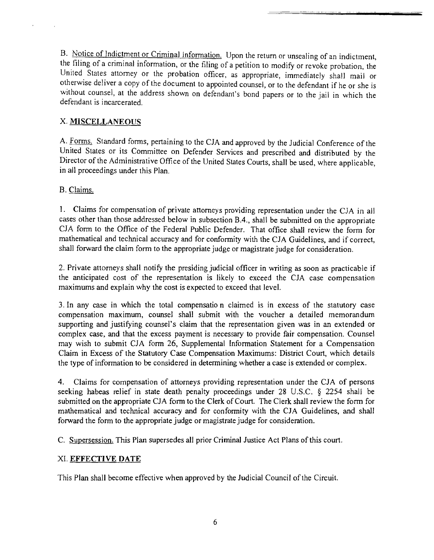B. Notice of Indictment or Criminal Information. Upon the return or unsealing of an indictment, the filing of a criminal information, or the filing of a petition to modify or revoke probation, the United States attorney or the probation officer, as appropriate, immediately shall mail or otherwise deliver a copy of the document to appointed counsel, or to the defendant if he or she is without counsel, at the address shown on defendant's bond papers or to the jail in which the defendant is incarcerated.

# X. MISCELLANEOUS

A. Forms. Standard forms, pertaining to the CJA and approved by the Judicial Conference of the United States or its Committee on Defender Services and prescribed and distributed by the Director of the Administrative Office of the United States Courts, shall be used, where applicable, in all proceedings under this Plan.

### B. Claims.

1. Claims for compensation of private attorneys providing representation under the CJA in all cases other than those addressed below in subsection B.4., shall be submitted on the appropriate CJA form to the Office of the Federal Public Defender. That office shall review the fonn for mathematical and technical accuracy and for conformity with the CJA Guidelines, and if correct, shall forward the claim form to the appropriate judge or magistrate judge for consideration.

2. Private attorneys shall notify the presiding judicial officer in writing as soon as practicable if the anticipated cost of the representation is likely to exceed the CJA case compensation maximums and explain why the cost is expected to exceed that level.

3. In any case in which the total compensatio n claimed is in excess of the statutory case compensation maximum, counsel shall submit with the voucher a detailed memorandum supporting and justifying counsel's claim that the representation given was in an extended or complex case, and that the excess payment is necessary to provide fair compensation. Counsel may wish to submit CJA form 26, Supplemental Information Statement for a Compensation Claim in Excess of the Statutory Case Compensation Maximums: District Court, which details the type of information to be considered in determining whether a case is extended or complex.

4. Claims for compensation of attorneys providing representation under the CJA of persons seeking habeas relief in state death penalty proceedings under 28 U.S.C. § 2254 shall be submitted on the appropriate CJA form to the Clerk of Court. The Clerk shall review the form for mathematical and technical accuracy and for confonnity with the CJA Guidelines, and shall forward the form to the appropriate judge or magistrate judge for consideration.

C. Supersession. This Plan supersedes all prior Criminal Justice Act Plans of this court.

### XI. EFFECTIVE DATE

This Plan shall become effective when approved by the Judicial Council ofthe Circuit.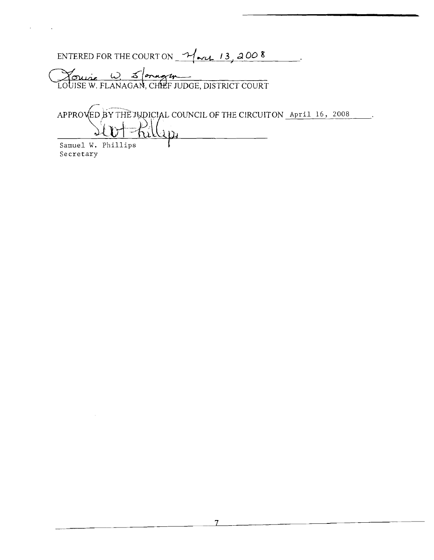ENTERED FOR THE COURT ON  $\frac{1}{2}$   $\frac{1}{2}$   $\frac{3}{2}$  00 **8** 

Joure W 5 prague

APPROVED BY THE JUDICIAL COUNCIL OF THE CIRCUITON April 16, 2008  $2UV - h$ illin  $\frac{2\mathbf{W}-\mathbf{h}\mathbf{u}}{\mathbf{w}}$  Samuel W. Phillips

Secretary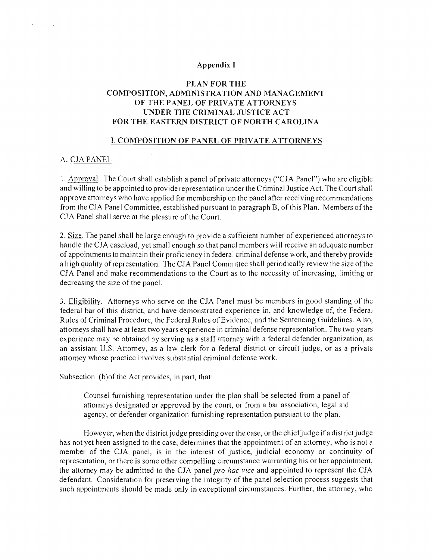#### Appendix I

## PLAN FOR THE COMPOSITION, ADMINISTRATION AND MANAGEMENT OF THE PANEL OF PRIVATE ATTORNEYS UNDER THE CRIMINAL JUSTICE ACT FOR THE EASTERN DISTRICT OF NORTH CAROLINA

#### 1. COMPOSITION OF PANEL OF PRIVATE ATTORNEYS

### A. CJA PANEL

 $\bar{\lambda}$ 

 $\mathcal{L}^{(1)}$ 

 $\sim$   $\sim$ 

1. Approval. The Court shall establish a panel of private attorneys ("CJA Panel") who are eligible and willing to be appointed to provide representation under the Criminal Justice Act. The Court shall approve attorneys who have applied for membership on the panel after receiving recommendations from the CJA Panel Committee, established pursuant to paragraph B, of this Plan. Members of the CJ A Panel shall serve at the pleasure of the Court.

2. Size. The panel shall be large enough to provide a sufficient number of experienced attorneys to handle the CJA caseload, yet small enough so that panel members will receive an adequate number of appointments to maintain their proficiency in federal criminal defense work, and thereby provide a high quality ofrepresentation. The CJA Panel Committee shall periodically review the size ofthe CJA Panel and make recommendations to the Court as to the necessity of increasing, limiting or decreasing the size of the panel.

3. Eligibility. Attorneys who serve on the CJA Panel must be members in good standing of the federal bar of this district, and have demonstrated experience in, and knowledge of, the Federal Rules of Criminal Procedure, the Federal Rules of Evidence, and the Sentencing Guidelines. Also, attorneys shall have at least two years experience in criminal defense representation. The two years experience may be obtained by serving as a staff attorney with a federal defender organization, as an assistant U.S. Attorney, as a law clerk for a federal district or circuit judge, or as a private attorney whose practice involves substantial criminal defense work.

Subsection (b) of the Act provides, in part, that:

Counsel furnishing representation under the plan shall be selected from a panel of attorneys designated or approved by the court, or from a bar association, legal aid agency, or defender organization furnishing representation pursuant to the plan.

Howeyer, when the district judge presiding over the case, or the chiefjudge if a district judge has not yet been assigned to the case, determines that the appointment of an attorney, who is not a member of the CJA panel, is in the interest of justice, judicial economy or continuity of representation, or there is some other compelling circumstance warranting his or her appointment, the attorney may be admitted to the CJA panel *pro hac vice* and appointed to represent the CJA defendant. Consideration for preserving the integrity of the panel selection process suggests that such appointments should be made only in exceptional circumstances. Further, the attorney, who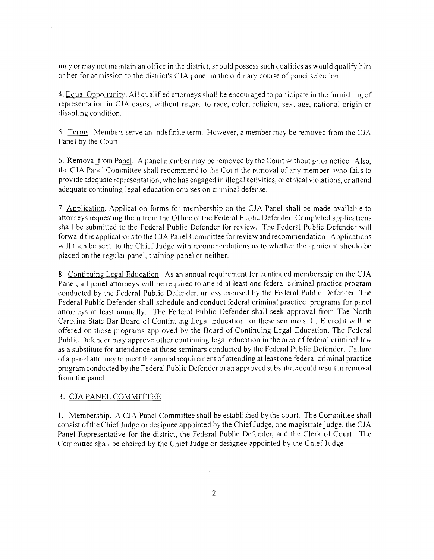may or may not maintain an office in the district, should possess such qualities as would qualify him or her for admission to the district's CJA panel in the ordinary course of panel selection.

4. Equal Opportunity. All qualified attomeys shall be encouraged to participate in the furnishing of representation in CJA cases, without regard to race, color, religion, sex, age, national origin or disabling condition.

5. Terms. Members serve an indefinite term. However, a member may be removed from the CJA Panel by the Court.

6. Removal from Panel. A panel member may be removed by the Court without prior notice. Also, the CJA Panel Committee shall recommend to the Court the removal of any member who fails to provide adequate representation, who has engaged in illegal activities, or ethical violations, or attend adequate continuing legal education courses on criminal defense.

7. Application. Application forms for membership on the CJA Panel shall be made available to attomeys requesting them from the Office of the Federal Public Defender. Completed applications shall be submitted to the Federal Public Defender for review. The Federal Public Defender will forward the applications to the CJA Panel Committee for review and recommendation. Applications will then be sent to the Chief Judge with recommendations as to whether the applicant should be placed on the regular panel, training panel or neither.

8. Continuing Legal Education. As an annual requirement for continued membership on the CJA Panel, all panel attorneys will be required to attend at least one federal criminal practice program conducted by the Federal Public Defender, unless excused by the Federal Public Defender. The Federal Public Defender shall schedule and conduct federal criminal practice programs for panel attorneys at least annually. The Federal Public Defender shall seek approval from The North Carolina State Bar Board of Continuing Legal Education for these seminars. CLE credit will be offered on those programs approved by the Board of Continuing Legal Education. The Federal Public Defender may approve other continuing legal education in the area of federal criminal law as a substitute for attendance at those seminars conducted by the Federal Public Defender. Failure of a panel attorney to meet the annual requirement of attending at least one federal criminal practice program conducted by the Federal Public Defender or an approved substitute could result in removal from the panel.

#### B. CJA PANEL COMMITTEE

1. Membership. A CJA Panel Committee shall be established by the court. The Committee shall consist ofthe ChiefJudge or designee appointed by the ChiefJudge, one magistrate judge, the CJA Panel Representative for the district, the Federal Public Defender, and the Clerk of Court. The Committee shall be chaired by the Chief Judge or designee appointed by the Chief Judge.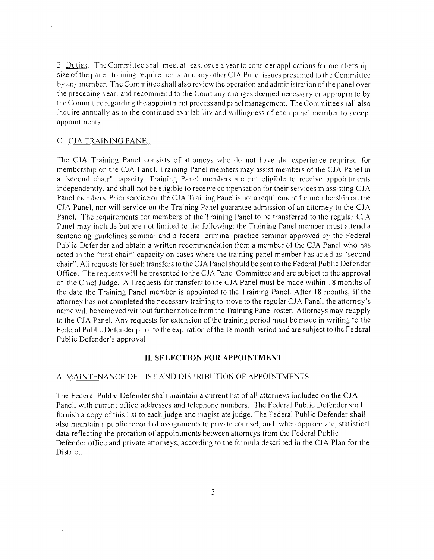2. Duties. The Committee shall meet at least once a year to consider applications for membership, size of the panel, training requirements, and any other CJA Panel issues presented to the Committee by any member. The Committee shall also review the operation and administration of the panel over the preceding year. and recommend to the Court any changes deemed necessary or appropriate by the Committee regarding the appointment process and panel management. The Committee shall also inquire annually as to the continued availability and willingness of each panel member to accept appointments.

#### C. CJA TRAINING PANEL

 $\mathcal{A}^{\pm}$ 

 $\sim$ 

The CJA Training Panel consists of attorneys who do not have the experience required for membership on the CJA Panel. Training Panel members may assist members of the CJA Panel in a "second chair" capacity. Training Panel members are not eligible to receive appointments independently, and shall not be eligible to receive compensation for their services in assisting CJA Panel members. Prior service on the CJA Training Panel is not a requirement for membership on the CJA Panel, nor will service on the Training Panel guarantee admission of an attorney to the CJA Panel, The requirements for members of the Training Panel to be transferred to the regular CJA Panel may include but are not limited to the following: the Training Panel member must attend a sentencing guidelines seminar and a federal criminal practice seminar approved by the Federal Public Defender and obtain a written recommendation from a member of the CJA Panel who has acted in the "first chair" capacity on cases where the training panel member has acted as "second chair". All requests for such transfers to the CJA Panel should be sent to the Federal Public Defender Office. The requests will be presented to the CJA Panel Committee and are subject to the approval of the Chief Judge. All requests for transfers to the CJA Panel must be made within 18 months of the date the Training Panel member is appointed to the Training Panel. After 18 months, if the attorney has not completed the necessary training to move to the regular CJA Panel, the attorney's name will be removed without further notice from the Training Panel roster. Attorneys may reapply to the CJA Panel. Any requests for extension of the training period must be made in writing to the Federal Public Defender prior to the expiration ofthe 18 month period and are subject to the Federal Public Defender's approval.

#### **II. SELECTION FOR APPOINTMENT**

### A. MAINTENANCE OF LIST AND DISTRIBUTION OF APPOINTMENTS

The Federal Public Defender shall maintain a current list of all attorneys included on the CJA Panel, with current office addresses and telephone numbers. The Federal Public Defender shall furnish a copy of this list to each judge and magistrate judge. The Federal Public Defender shall also maintain a public record of assignments to private counsel, and, when appropriate, statistical data reflecting the proration of appointments between attorneys from the Federal Public Defender office and private attorneys, according to the formula described in the CJA Plan for the District.